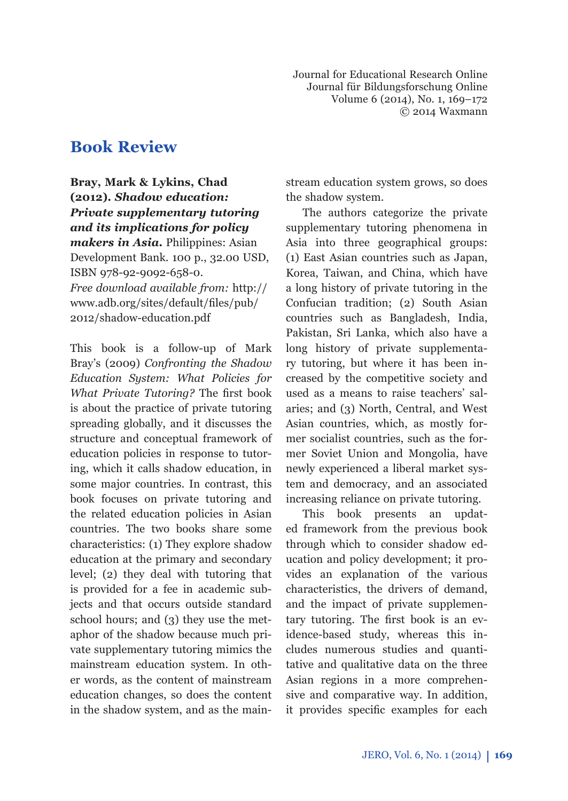Journal for Educational Research Online Journal für Bildungsforschung Online Volume 6 (2014), No. 1, 169–172 © 2014 Waxmann

# **Book Review**

# **Bray, Mark & Lykins, Chad (2012).** *Shadow education: Private supplementary tutoring and its implications for policy*

*makers in Asia***.** Philippines: Asian Development Bank. 100 p., 32.00 USD, ISBN 978-92-9092-658-0. *Free download available from:* http:// www.adb.org/sites/default/files/pub/ 2012/shadow-education.pdf

This book is a follow-up of Mark Bray's (2009) *Confronting the Shadow Education System: What Policies for What Private Tutoring?* The first book is about the practice of private tutoring spreading globally, and it discusses the structure and conceptual framework of education policies in response to tutoring, which it calls shadow education, in some major countries. In contrast, this book focuses on private tutoring and the related education policies in Asian countries. The two books share some characteristics: (1) They explore shadow education at the primary and secondary level; (2) they deal with tutoring that is provided for a fee in academic subjects and that occurs outside standard school hours; and (3) they use the metaphor of the shadow because much private supplementary tutoring mimics the mainstream education system. In other words, as the content of mainstream education changes, so does the content in the shadow system, and as the mainstream education system grows, so does the shadow system.

The authors categorize the private supplementary tutoring phenomena in Asia into three geographical groups: (1) East Asian countries such as Japan, Korea, Taiwan, and China, which have a long history of private tutoring in the Confucian tradition; (2) South Asian countries such as Bangladesh, India, Pakistan, Sri Lanka, which also have a long history of private supplementary tutoring, but where it has been increased by the competitive society and used as a means to raise teachers' salaries; and (3) North, Central, and West Asian countries, which, as mostly former socialist countries, such as the former Soviet Union and Mongolia, have newly experienced a liberal market system and democracy, and an associated increasing reliance on private tutoring.

This book presents an updated framework from the previous book through which to consider shadow education and policy development; it provides an explanation of the various characteristics, the drivers of demand, and the impact of private supplementary tutoring. The first book is an evidence-based study, whereas this includes numerous studies and quantitative and qualitative data on the three Asian regions in a more comprehensive and comparative way. In addition, it provides specific examples for each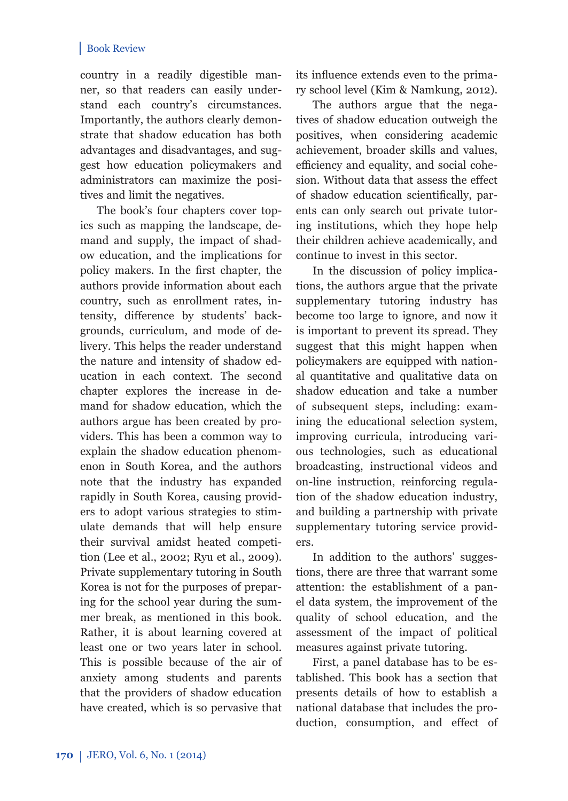#### Book Review

country in a readily digestible manner, so that readers can easily understand each country's circumstances. Importantly, the authors clearly demonstrate that shadow education has both advantages and disadvantages, and suggest how education policymakers and administrators can maximize the positives and limit the negatives.

The book's four chapters cover topics such as mapping the landscape, demand and supply, the impact of shadow education, and the implications for policy makers. In the first chapter, the authors provide information about each country, such as enrollment rates, intensity, difference by students' backgrounds, curriculum, and mode of delivery. This helps the reader understand the nature and intensity of shadow education in each context. The second chapter explores the increase in demand for shadow education, which the authors argue has been created by providers. This has been a common way to explain the shadow education phenomenon in South Korea, and the authors note that the industry has expanded rapidly in South Korea, causing providers to adopt various strategies to stimulate demands that will help ensure their survival amidst heated competition (Lee et al., 2002; Ryu et al., 2009). Private supplementary tutoring in South Korea is not for the purposes of preparing for the school year during the summer break, as mentioned in this book. Rather, it is about learning covered at least one or two years later in school. This is possible because of the air of anxiety among students and parents that the providers of shadow education have created, which is so pervasive that

its influence extends even to the primary school level (Kim & Namkung, 2012).

The authors argue that the negatives of shadow education outweigh the positives, when considering academic achievement, broader skills and values, efficiency and equality, and social cohesion. Without data that assess the effect of shadow education scientifically, parents can only search out private tutoring institutions, which they hope help their children achieve academically, and continue to invest in this sector.

In the discussion of policy implications, the authors argue that the private supplementary tutoring industry has become too large to ignore, and now it is important to prevent its spread. They suggest that this might happen when policymakers are equipped with national quantitative and qualitative data on shadow education and take a number of subsequent steps, including: examining the educational selection system, improving curricula, introducing various technologies, such as educational broadcasting, instructional videos and on-line instruction, reinforcing regulation of the shadow education industry, and building a partnership with private supplementary tutoring service providers.

In addition to the authors' suggestions, there are three that warrant some attention: the establishment of a panel data system, the improvement of the quality of school education, and the assessment of the impact of political measures against private tutoring.

First, a panel database has to be established. This book has a section that presents details of how to establish a national database that includes the production, consumption, and effect of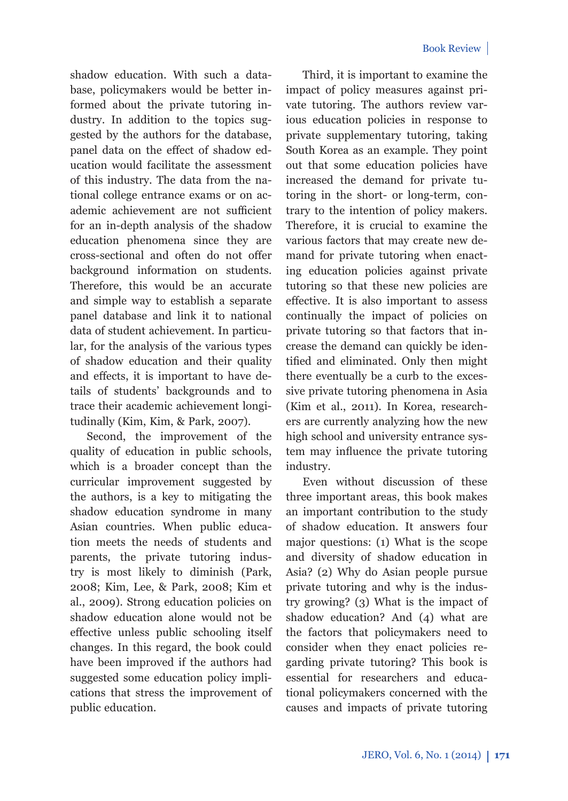shadow education. With such a database, policymakers would be better informed about the private tutoring industry. In addition to the topics suggested by the authors for the database, panel data on the effect of shadow education would facilitate the assessment of this industry. The data from the national college entrance exams or on academic achievement are not sufficient for an in-depth analysis of the shadow education phenomena since they are cross-sectional and often do not offer background information on students. Therefore, this would be an accurate and simple way to establish a separate panel database and link it to national data of student achievement. In particular, for the analysis of the various types of shadow education and their quality and effects, it is important to have details of students' backgrounds and to trace their academic achievement longitudinally (Kim, Kim, & Park, 2007).

Second, the improvement of the quality of education in public schools, which is a broader concept than the curricular improvement suggested by the authors, is a key to mitigating the shadow education syndrome in many Asian countries. When public education meets the needs of students and parents, the private tutoring industry is most likely to diminish (Park, 2008; Kim, Lee, & Park, 2008; Kim et al., 2009). Strong education policies on shadow education alone would not be effective unless public schooling itself changes. In this regard, the book could have been improved if the authors had suggested some education policy implications that stress the improvement of public education.

Third, it is important to examine the impact of policy measures against private tutoring. The authors review various education policies in response to private supplementary tutoring, taking South Korea as an example. They point out that some education policies have increased the demand for private tutoring in the short- or long-term, contrary to the intention of policy makers. Therefore, it is crucial to examine the various factors that may create new demand for private tutoring when enacting education policies against private tutoring so that these new policies are effective. It is also important to assess continually the impact of policies on private tutoring so that factors that increase the demand can quickly be identified and eliminated. Only then might there eventually be a curb to the excessive private tutoring phenomena in Asia (Kim et al., 2011). In Korea, researchers are currently analyzing how the new high school and university entrance system may influence the private tutoring industry.

Even without discussion of these three important areas, this book makes an important contribution to the study of shadow education. It answers four major questions: (1) What is the scope and diversity of shadow education in Asia? (2) Why do Asian people pursue private tutoring and why is the industry growing? (3) What is the impact of shadow education? And (4) what are the factors that policymakers need to consider when they enact policies regarding private tutoring? This book is essential for researchers and educational policymakers concerned with the causes and impacts of private tutoring